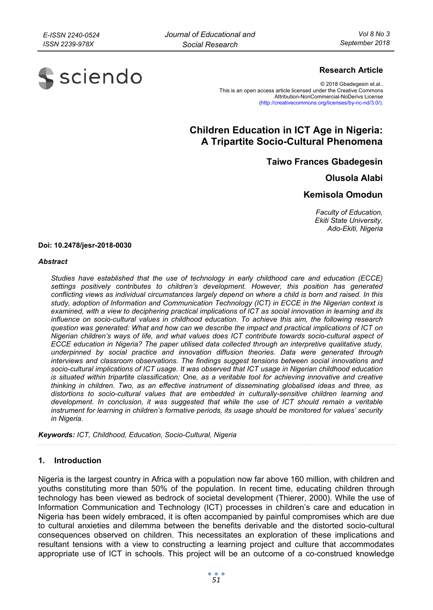

## **Research Article**

© 2018 Gbadegesin et.al.. This is an open access article licensed under the Creative Commons Attribution-NonCommercial-NoDerivs License (http://creativecommons.org/licenses/by-nc-nd/3.0/).

# **Children Education in ICT Age in Nigeria: A Tripartite Socio-Cultural Phenomena**

**Taiwo Frances Gbadegesin** 

**Olusola Alabi** 

# **Kemisola Omodun**

*Faculty of Education, Ekiti State University, Ado-Ekiti, Nigeria* 

#### **Doi: 10.2478/jesr-2018-0030**

#### *Abstract*

*Studies have established that the use of technology in early childhood care and education (ECCE) settings positively contributes to children's development. However, this position has generated conflicting views as individual circumstances largely depend on where a child is born and raised. In this study, adoption of Information and Communication Technology (ICT) in ECCE in the Nigerian context is examined, with a view to deciphering practical implications of ICT as social innovation in learning and its influence on socio-cultural values in childhood education. To achieve this aim, the following research question was generated: What and how can we describe the impact and practical implications of ICT on Nigerian children's ways of life, and what values does ICT contribute towards socio-cultural aspect of ECCE education in Nigeria? The paper utilised data collected through an interpretive qualitative study, underpinned by social practice and innovation diffusion theories. Data were generated through interviews and classroom observations. The findings suggest tensions between social innovations and socio-cultural implications of ICT usage. It was observed that ICT usage in Nigerian childhood education is situated within tripartite classification; One, as a veritable tool for achieving innovative and creative thinking in children. Two, as an effective instrument of disseminating globalised ideas and three, as distortions to socio-cultural values that are embedded in culturally-sensitive children learning and development. In conclusion, it was suggested that while the use of ICT should remain a veritable instrument for learning in children's formative periods, its usage should be monitored for values' security in Nigeria.* 

*Keywords: ICT, Childhood, Education, Socio-Cultural, Nigeria* 

### **1. Introduction**

Nigeria is the largest country in Africa with a population now far above 160 million, with children and youths constituting more than 50% of the population. In recent time, educating children through technology has been viewed as bedrock of societal development (Thierer, 2000). While the use of Information Communication and Technology (ICT) processes in children's care and education in Nigeria has been widely embraced, it is often accompanied by painful compromises which are due to cultural anxieties and dilemma between the benefits derivable and the distorted socio-cultural consequences observed on children. This necessitates an exploration of these implications and resultant tensions with a view to constructing a learning project and culture that accommodates appropriate use of ICT in schools. This project will be an outcome of a co-construed knowledge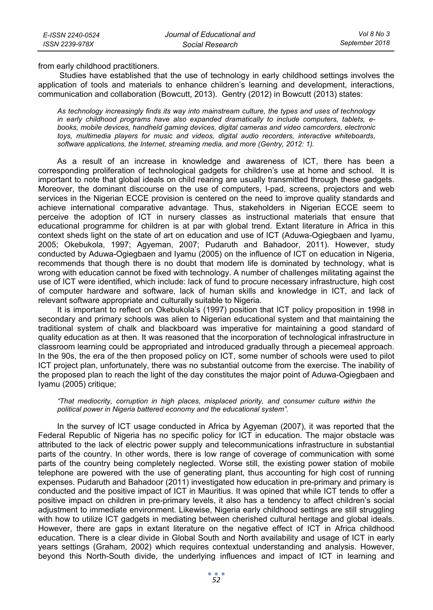from early childhood practitioners.

 Studies have established that the use of technology in early childhood settings involves the application of tools and materials to enhance children's learning and development, interactions, communication and collaboration (Bowcutt, 2013). Gentry (2012) in Bowcutt (2013) states:

*As technology increasingly finds its way into mainstream culture, the types and uses of technology in early childhood programs have also expanded dramatically to include computers, tablets, ebooks, mobile devices, handheld gaming devices, digital cameras and video camcorders, electronic toys, multimedia players for music and videos, digital audio recorders, interactive whiteboards, software applications, the Internet, streaming media, and more (Gentry, 2012: 1).* 

As a result of an increase in knowledge and awareness of ICT, there has been a corresponding proliferation of technological gadgets for children's use at home and school. It is important to note that global ideals on child rearing are usually transmitted through these gadgets. Moreover, the dominant discourse on the use of computers, I-pad, screens, projectors and web services in the Nigerian ECCE provision is centered on the need to improve quality standards and achieve international comparative advantage. Thus, stakeholders in Nigerian ECCE seem to perceive the adoption of ICT in nursery classes as instructional materials that ensure that educational programme for children is at par with global trend. Extant literature in Africa in this context sheds light on the state of art on education and use of ICT (Aduwa-Ogiegbaen and Iyamu, 2005; Okebukola, 1997; Agyeman, 2007; Pudaruth and Bahadoor, 2011). However, study conducted by Aduwa-Ogiegbaen and Iyamu (2005) on the influence of ICT on education in Nigeria, recommends that though there is no doubt that modern life is dominated by technology, what is wrong with education cannot be fixed with technology. A number of challenges militating against the use of ICT were identified, which include: lack of fund to procure necessary infrastructure, high cost of computer hardware and software, lack of human skills and knowledge in ICT, and lack of relevant software appropriate and culturally suitable to Nigeria.

It is important to reflect on Okebukola's (1997) position that ICT policy proposition in 1998 in secondary and primary schools was alien to Nigerian educational system and that maintaining the traditional system of chalk and blackboard was imperative for maintaining a good standard of quality education as at then. It was reasoned that the incorporation of technological infrastructure in classroom learning could be appropriated and introduced gradually through a piecemeal approach. In the 90s, the era of the then proposed policy on ICT, some number of schools were used to pilot ICT project plan, unfortunately, there was no substantial outcome from the exercise. The inability of the proposed plan to reach the light of the day constitutes the major point of Aduwa-Ogiegbaen and Iyamu (2005) critique;

#### *"That mediocrity, corruption in high places, misplaced priority, and consumer culture within the political power in Nigeria battered economy and the educational system".*

In the survey of ICT usage conducted in Africa by Agyeman (2007), it was reported that the Federal Republic of Nigeria has no specific policy for ICT in education. The major obstacle was attributed to the lack of electric power supply and telecommunications infrastructure in substantial parts of the country. In other words, there is low range of coverage of communication with some parts of the country being completely neglected. Worse still, the existing power station of mobile telephone are powered with the use of generating plant, thus accounting for high cost of running expenses. Pudaruth and Bahadoor (2011) investigated how education in pre-primary and primary is conducted and the positive impact of ICT in Mauritius. It was opined that while ICT tends to offer a positive impact on children in pre-primary levels, it also has a tendency to affect children's social adjustment to immediate environment. Likewise, Nigeria early childhood settings are still struggling with how to utilize ICT gadgets in mediating between cherished cultural heritage and global ideals. However, there are gaps in extant literature on the negative effect of ICT in Africa childhood education. There is a clear divide in Global South and North availability and usage of ICT in early years settings (Graham, 2002) which requires contextual understanding and analysis. However, beyond this North-South divide, the underlying influences and impact of ICT in learning and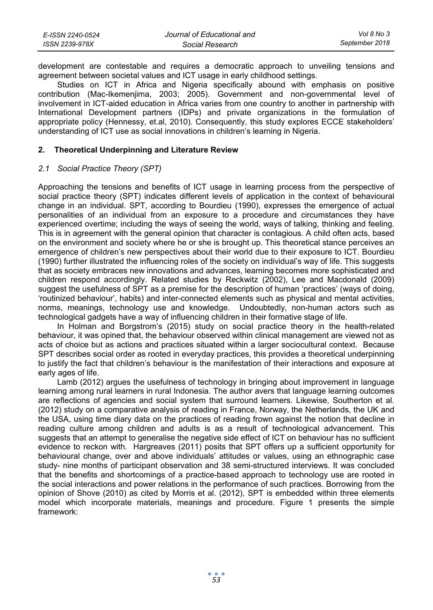| E-ISSN 2240-0524 | Journal of Educational and | Vol 8 No 3     |
|------------------|----------------------------|----------------|
| ISSN 2239-978X   | Social Research            | September 2018 |

development are contestable and requires a democratic approach to unveiling tensions and agreement between societal values and ICT usage in early childhood settings.

Studies on ICT in Africa and Nigeria specifically abound with emphasis on positive contribution (Mac-Ikemenjima, 2003; 2005). Government and non-governmental level of involvement in ICT-aided education in Africa varies from one country to another in partnership with International Development partners (IDPs) and private organizations in the formulation of appropriate policy (Hennessy, et.al, 2010). Consequently, this study explores ECCE stakeholders' understanding of ICT use as social innovations in children's learning in Nigeria.

### **2. Theoretical Underpinning and Literature Review**

### *2.1 Social Practice Theory (SPT)*

Approaching the tensions and benefits of ICT usage in learning process from the perspective of social practice theory (SPT) indicates different levels of application in the context of behavioural change in an individual. SPT, according to Bourdieu (1990), expresses the emergence of actual personalities of an individual from an exposure to a procedure and circumstances they have experienced overtime; including the ways of seeing the world, ways of talking, thinking and feeling. This is in agreement with the general opinion that character is contagious. A child often acts, based on the environment and society where he or she is brought up. This theoretical stance perceives an emergence of children's new perspectives about their world due to their exposure to ICT. Bourdieu (1990) further illustrated the influencing roles of the society on individual's way of life. This suggests that as society embraces new innovations and advances, learning becomes more sophisticated and children respond accordingly. Related studies by Reckwitz (2002), Lee and Macdonald (2009) suggest the usefulness of SPT as a premise for the description of human 'practices' (ways of doing, 'routinized behaviour', habits) and inter-connected elements such as physical and mental activities, norms, meanings, technology use and knowledge. Undoubtedly, non-human actors such as technological gadgets have a way of influencing children in their formative stage of life.

In Holman and Borgstrom's (2015) study on social practice theory in the health-related behaviour, it was opined that, the behaviour observed within clinical management are viewed not as acts of choice but as actions and practices situated within a larger sociocultural context. Because SPT describes social order as rooted in everyday practices, this provides a theoretical underpinning to justify the fact that children's behaviour is the manifestation of their interactions and exposure at early ages of life.

Lamb (2012) argues the usefulness of technology in bringing about improvement in language learning among rural learners in rural Indonesia. The author avers that language learning outcomes are reflections of agencies and social system that surround learners. Likewise, Southerton et al. (2012) study on a comparative analysis of reading in France, Norway, the Netherlands, the UK and the USA, using time diary data on the practices of reading frown against the notion that decline in reading culture among children and adults is as a result of technological advancement. This suggests that an attempt to generalise the negative side effect of ICT on behaviour has no sufficient evidence to reckon with. Hargreaves (2011) posits that SPT offers up a sufficient opportunity for behavioural change, over and above individuals' attitudes or values, using an ethnographic case study- nine months of participant observation and 38 semi-structured interviews. It was concluded that the benefits and shortcomings of a practice-based approach to technology use are rooted in the social interactions and power relations in the performance of such practices. Borrowing from the opinion of Shove (2010) as cited by Morris et al. (2012), SPT is embedded within three elements model which incorporate materials, meanings and procedure. Figure 1 presents the simple framework: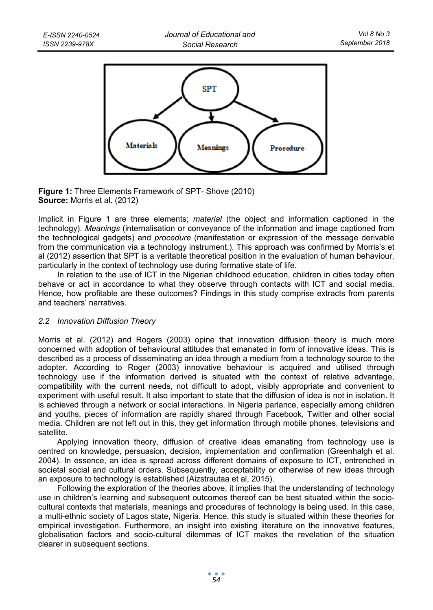

**Figure 1:** Three Elements Framework of SPT- Shove (2010) **Source:** Morris et al. (2012)

Implicit in Figure 1 are three elements; *material* (the object and information captioned in the technology). *Meanings* (internalisation or conveyance of the information and image captioned from the technological gadgets) and *procedure* (manifestation or expression of the message derivable from the communication via a technology instrument.). This approach was confirmed by Morris's et al (2012) assertion that SPT is a veritable theoretical position in the evaluation of human behaviour, particularly in the context of technology use during formative state of life.

In relation to the use of ICT in the Nigerian childhood education, children in cities today often behave or act in accordance to what they observe through contacts with ICT and social media. Hence, how profitable are these outcomes? Findings in this study comprise extracts from parents and teachers' narratives.

# *2.2 Innovation Diffusion Theory*

Morris et al. (2012) and Rogers (2003) opine that innovation diffusion theory is much more concerned with adoption of behavioural attitudes that emanated in form of innovative ideas. This is described as a process of disseminating an idea through a medium from a technology source to the adopter. According to Roger (2003) innovative behaviour is acquired and utilised through technology use if the information derived is situated with the context of relative advantage, compatibility with the current needs, not difficult to adopt, visibly appropriate and convenient to experiment with useful result. It also important to state that the diffusion of idea is not in isolation. It is achieved through a network or social interactions. In Nigeria parlance, especially among children and youths, pieces of information are rapidly shared through Facebook, Twitter and other social media. Children are not left out in this, they get information through mobile phones, televisions and satellite.

Applying innovation theory, diffusion of creative ideas emanating from technology use is centred on knowledge, persuasion, decision, implementation and confirmation (Greenhalgh et al. 2004). In essence, an idea is spread across different domains of exposure to ICT, entrenched in societal social and cultural orders. Subsequently, acceptability or otherwise of new ideas through an exposure to technology is established (Aizstrautaa et al, 2015).

Following the exploration of the theories above, it implies that the understanding of technology use in children's learning and subsequent outcomes thereof can be best situated within the sociocultural contexts that materials, meanings and procedures of technology is being used. In this case, a multi-ethnic society of Lagos state, Nigeria. Hence, this study is situated within these theories for empirical investigation. Furthermore, an insight into existing literature on the innovative features, globalisation factors and socio-cultural dilemmas of ICT makes the revelation of the situation clearer in subsequent sections.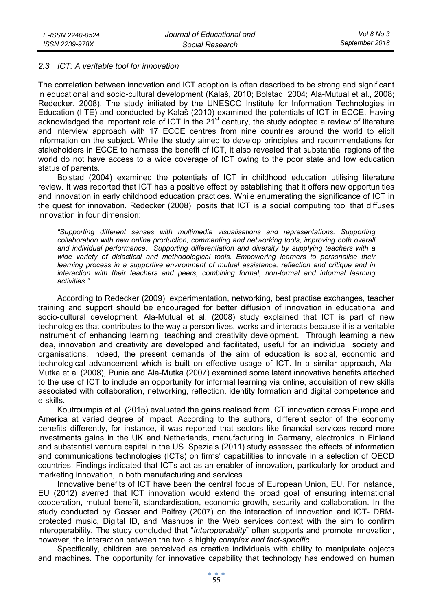### *2.3 ICT: A veritable tool for innovation*

The correlation between innovation and ICT adoption is often described to be strong and significant in educational and socio-cultural development (Kalaš, 2010; Bolstad, 2004; Ala-Mutual et al., 2008; Redecker, 2008). The study initiated by the UNESCO Institute for Information Technologies in Education (IITE) and conducted by Kalaš (2010) examined the potentials of ICT in ECCE. Having acknowledged the important role of ICT in the 21<sup>st</sup> century, the study adopted a review of literature and interview approach with 17 ECCE centres from nine countries around the world to elicit information on the subject. While the study aimed to develop principles and recommendations for stakeholders in ECCE to harness the benefit of ICT, it also revealed that substantial regions of the world do not have access to a wide coverage of ICT owing to the poor state and low education status of parents.

Bolstad (2004) examined the potentials of ICT in childhood education utilising literature review. It was reported that ICT has a positive effect by establishing that it offers new opportunities and innovation in early childhood education practices. While enumerating the significance of ICT in the quest for innovation, Redecker (2008), posits that ICT is a social computing tool that diffuses innovation in four dimension:

*"Supporting different senses with multimedia visualisations and representations. Supporting*  collaboration with new online production, commenting and networking tools, improving both overall *and individual performance. Supporting differentiation and diversity by supplying teachers with a wide variety of didactical and methodological tools. Empowering learners to personalise their learning process in a supportive environment of mutual assistance, reflection and critique and in*  interaction with their teachers and peers, combining formal, non-formal and informal learning *activities."* 

According to Redecker (2009), experimentation, networking, best practise exchanges, teacher training and support should be encouraged for better diffusion of innovation in educational and socio-cultural development. Ala-Mutual et al. (2008) study explained that ICT is part of new technologies that contributes to the way a person lives, works and interacts because it is a veritable instrument of enhancing learning, teaching and creativity development. Through learning a new idea, innovation and creativity are developed and facilitated, useful for an individual, society and organisations. Indeed, the present demands of the aim of education is social, economic and technological advancement which is built on effective usage of ICT. In a similar approach, Ala-Mutka et al (2008), Punie and Ala-Mutka (2007) examined some latent innovative benefits attached to the use of ICT to include an opportunity for informal learning via online, acquisition of new skills associated with collaboration, networking, reflection, identity formation and digital competence and e-skills.

Koutroumpis et al. (2015) evaluated the gains realised from ICT innovation across Europe and America at varied degree of impact. According to the authors, different sector of the economy benefits differently, for instance, it was reported that sectors like financial services record more investments gains in the UK and Netherlands, manufacturing in Germany, electronics in Finland and substantial venture capital in the US. Spezia's (2011) study assessed the effects of information and communications technologies (ICTs) on firms' capabilities to innovate in a selection of OECD countries. Findings indicated that ICTs act as an enabler of innovation, particularly for product and marketing innovation, in both manufacturing and services.

Innovative benefits of ICT have been the central focus of European Union, EU. For instance, EU (2012) averred that ICT innovation would extend the broad goal of ensuring international cooperation, mutual benefit, standardisation, economic growth, security and collaboration. In the study conducted by Gasser and Palfrey (2007) on the interaction of innovation and ICT- DRMprotected music, Digital ID, and Mashups in the Web services context with the aim to confirm interoperability. The study concluded that "*interoperability*" often supports and promote innovation, however, the interaction between the two is highly *complex and fact-specific.*

Specifically, children are perceived as creative individuals with ability to manipulate objects and machines. The opportunity for innovative capability that technology has endowed on human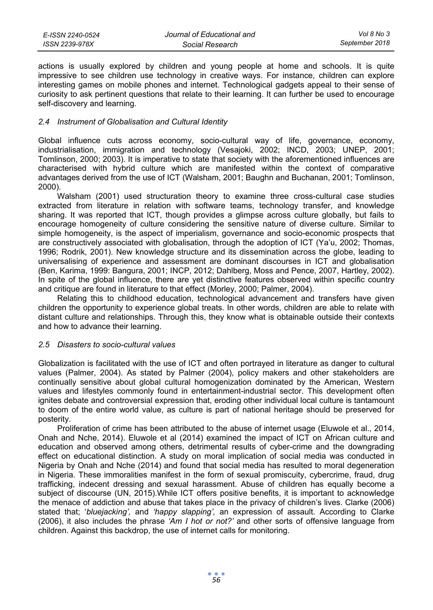| E-ISSN 2240-0524 | Journal of Educational and | Vol 8 No 3     |
|------------------|----------------------------|----------------|
| ISSN 2239-978X   | Social Research            | September 2018 |

actions is usually explored by children and young people at home and schools. It is quite impressive to see children use technology in creative ways. For instance, children can explore interesting games on mobile phones and internet. Technological gadgets appeal to their sense of curiosity to ask pertinent questions that relate to their learning. It can further be used to encourage self-discovery and learning.

### *2.4 Instrument of Globalisation and Cultural Identity*

Global influence cuts across economy, socio-cultural way of life, governance, economy, industrialisation, immigration and technology (Vesajoki, 2002; INCD, 2003; UNEP, 2001; Tomlinson, 2000; 2003). It is imperative to state that society with the aforementioned influences are characterised with hybrid culture which are manifested within the context of comparative advantages derived from the use of ICT (Walsham, 2001; Baughn and Buchanan, 2001; Tomlinson, 2000).

Walsham (2001) used structuration theory to examine three cross-cultural case studies extracted from literature in relation with software teams, technology transfer, and knowledge sharing. It was reported that ICT, though provides a glimpse across culture globally, but fails to encourage homogeneity of culture considering the sensitive nature of diverse culture. Similar to simple homogeneity, is the aspect of imperialism, governance and socio-economic prospects that are constructively associated with globalisation, through the adoption of ICT (Ya'u, 2002; Thomas, 1996; Rodrik, 2001). New knowledge structure and its dissemination across the globe, leading to universalising of experience and assessment are dominant discourses in ICT and globalisation (Ben, Karima, 1999: Bangura, 2001; INCP, 2012; Dahlberg, Moss and Pence, 2007, Hartley, 2002). In spite of the global influence, there are yet distinctive features observed within specific country and critique are found in literature to that effect (Morley, 2000; Palmer, 2004).

Relating this to childhood education, technological advancement and transfers have given children the opportunity to experience global treats. In other words, children are able to relate with distant culture and relationships. Through this, they know what is obtainable outside their contexts and how to advance their learning.

### *2.5 Disasters to socio-cultural values*

Globalization is facilitated with the use of ICT and often portrayed in literature as danger to cultural values (Palmer, 2004). As stated by Palmer (2004), policy makers and other stakeholders are continually sensitive about global cultural homogenization dominated by the American, Western values and lifestyles commonly found in entertainment-industrial sector. This development often ignites debate and controversial expression that, eroding other individual local culture is tantamount to doom of the entire world value, as culture is part of national heritage should be preserved for posterity.

Proliferation of crime has been attributed to the abuse of internet usage (Eluwole et al., 2014, Onah and Nche, 2014). Eluwole et al (2014) examined the impact of ICT on African culture and education and observed among others, detrimental results of cyber-crime and the downgrading effect on educational distinction. A study on moral implication of social media was conducted in Nigeria by Onah and Nche (2014) and found that social media has resulted to moral degeneration in Nigeria. These immoralities manifest in the form of sexual promiscuity, cybercrime, fraud, drug trafficking, indecent dressing and sexual harassment. Abuse of children has equally become a subject of discourse (UN, 2015).While ICT offers positive benefits, it is important to acknowledge the menace of addiction and abuse that takes place in the privacy of children's lives. Clarke (2006) stated that; '*bluejacking',* and *'happy slapping',* an expression of assault*.* According to Clarke (2006), it also includes the phrase *'Am I hot or not?'* and other sorts of offensive language from children. Against this backdrop, the use of internet calls for monitoring.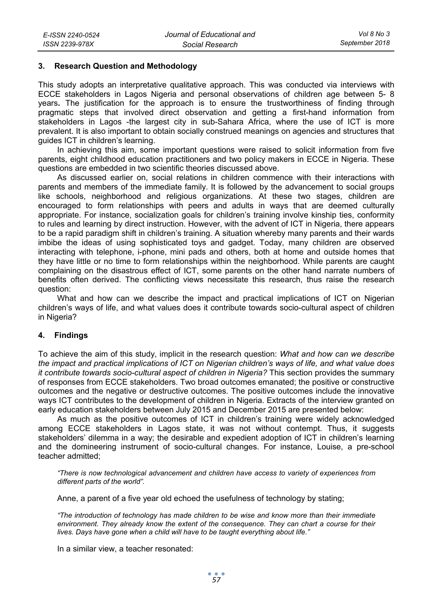### **3. Research Question and Methodology**

This study adopts an interpretative qualitative approach. This was conducted via interviews with ECCE stakeholders in Lagos Nigeria and personal observations of children age between 5- 8 years**.** The justification for the approach is to ensure the trustworthiness of finding through pragmatic steps that involved direct observation and getting a first-hand information from stakeholders in Lagos -the largest city in sub-Sahara Africa, where the use of ICT is more prevalent. It is also important to obtain socially construed meanings on agencies and structures that guides ICT in children's learning.

In achieving this aim, some important questions were raised to solicit information from five parents, eight childhood education practitioners and two policy makers in ECCE in Nigeria. These questions are embedded in two scientific theories discussed above.

As discussed earlier on, social relations in children commence with their interactions with parents and members of the immediate family. It is followed by the advancement to social groups like schools, neighborhood and religious organizations. At these two stages, children are encouraged to form relationships with peers and adults in ways that are deemed culturally appropriate. For instance, socialization goals for children's training involve kinship ties, conformity to rules and learning by direct instruction. However, with the advent of ICT in Nigeria, there appears to be a rapid paradigm shift in children's training. A situation whereby many parents and their wards imbibe the ideas of using sophisticated toys and gadget. Today, many children are observed interacting with telephone, i-phone, mini pads and others, both at home and outside homes that they have little or no time to form relationships within the neighborhood. While parents are caught complaining on the disastrous effect of ICT, some parents on the other hand narrate numbers of benefits often derived. The conflicting views necessitate this research, thus raise the research question:

What and how can we describe the impact and practical implications of ICT on Nigerian children's ways of life, and what values does it contribute towards socio-cultural aspect of children in Nigeria?

### **4. Findings**

To achieve the aim of this study, implicit in the research question: *What and how can we describe the impact and practical implications of ICT on Nigerian children's ways of life, and what value does it contribute towards socio-cultural aspect of children in Nigeria?* This section provides the summary of responses from ECCE stakeholders. Two broad outcomes emanated; the positive or constructive outcomes and the negative or destructive outcomes. The positive outcomes include the innovative ways ICT contributes to the development of children in Nigeria. Extracts of the interview granted on early education stakeholders between July 2015 and December 2015 are presented below:

As much as the positive outcomes of ICT in children's training were widely acknowledged among ECCE stakeholders in Lagos state, it was not without contempt. Thus, it suggests stakeholders' dilemma in a way; the desirable and expedient adoption of ICT in children's learning and the domineering instrument of socio-cultural changes. For instance, Louise, a pre-school teacher admitted;

*"There is now technological advancement and children have access to variety of experiences from different parts of the world".* 

Anne, a parent of a five year old echoed the usefulness of technology by stating;

*"The introduction of technology has made children to be wise and know more than their immediate environment. They already know the extent of the consequence. They can chart a course for their lives. Days have gone when a child will have to be taught everything about life."* 

In a similar view, a teacher resonated: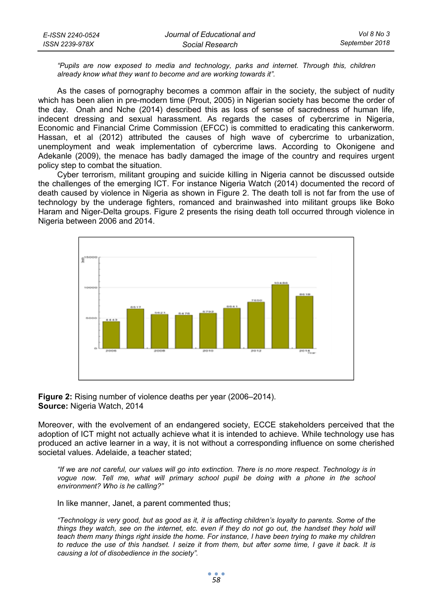| E-ISSN 2240-0524 | Journal of Educational and | Vol 8 No 3     |
|------------------|----------------------------|----------------|
| ISSN 2239-978X   | Social Research            | September 2018 |

*"Pupils are now exposed to media and technology, parks and internet. Through this, children already know what they want to become and are working towards it".* 

As the cases of pornography becomes a common affair in the society, the subject of nudity which has been alien in pre-modern time (Prout, 2005) in Nigerian society has become the order of the day. Onah and Nche (2014) described this as loss of sense of sacredness of human life, indecent dressing and sexual harassment. As regards the cases of cybercrime in Nigeria, Economic and Financial Crime Commission (EFCC) is committed to eradicating this cankerworm. Hassan, et al (2012) attributed the causes of high wave of cybercrime to urbanization, unemployment and weak implementation of cybercrime laws. According to Okonigene and Adekanle (2009), the menace has badly damaged the image of the country and requires urgent policy step to combat the situation.

Cyber terrorism, militant grouping and suicide killing in Nigeria cannot be discussed outside the challenges of the emerging ICT. For instance Nigeria Watch (2014) documented the record of death caused by violence in Nigeria as shown in Figure 2. The death toll is not far from the use of technology by the underage fighters, romanced and brainwashed into militant groups like Boko Haram and Niger-Delta groups. Figure 2 presents the rising death toll occurred through violence in Nigeria between 2006 and 2014.





Moreover, with the evolvement of an endangered society, ECCE stakeholders perceived that the adoption of ICT might not actually achieve what it is intended to achieve. While technology use has produced an active learner in a way, it is not without a corresponding influence on some cherished societal values. Adelaide, a teacher stated;

*"If we are not careful, our values will go into extinction. There is no more respect. Technology is in*  vogue now. Tell me, what will primary school pupil be doing with a phone in the school *environment? Who is he calling?"* 

In like manner, Janet, a parent commented thus;

*"Technology is very good, but as good as it, it is affecting children's loyalty to parents. Some of the things they watch, see on the internet, etc. even if they do not go out, the handset they hold will teach them many things right inside the home. For instance, I have been trying to make my children to reduce the use of this handset. I seize it from them, but after some time, I gave it back. It is causing a lot of disobedience in the society".*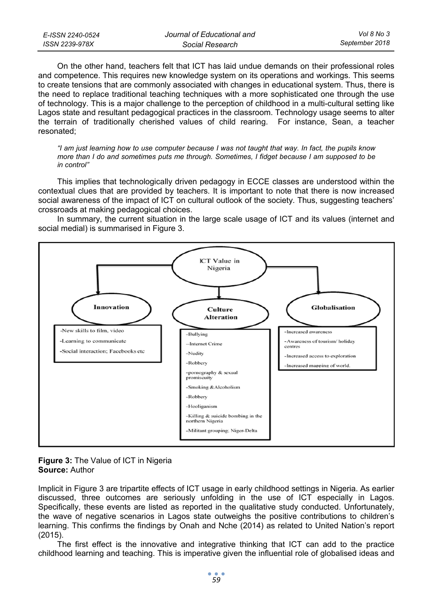| E-ISSN 2240-0524 | Journal of Educational and | Vol 8 No 3     |
|------------------|----------------------------|----------------|
| ISSN 2239-978X   | Social Research            | September 2018 |

On the other hand, teachers felt that ICT has laid undue demands on their professional roles and competence. This requires new knowledge system on its operations and workings. This seems to create tensions that are commonly associated with changes in educational system. Thus, there is the need to replace traditional teaching techniques with a more sophisticated one through the use of technology. This is a major challenge to the perception of childhood in a multi-cultural setting like Lagos state and resultant pedagogical practices in the classroom. Technology usage seems to alter the terrain of traditionally cherished values of child rearing. For instance, Sean, a teacher resonated;

*"I am just learning how to use computer because I was not taught that way. In fact, the pupils know more than I do and sometimes puts me through. Sometimes, I fidget because I am supposed to be in control"* 

This implies that technologically driven pedagogy in ECCE classes are understood within the contextual clues that are provided by teachers. It is important to note that there is now increased social awareness of the impact of ICT on cultural outlook of the society. Thus, suggesting teachers' crossroads at making pedagogical choices.

In summary, the current situation in the large scale usage of ICT and its values (internet and social medial) is summarised in Figure 3.



### **Figure 3:** The Value of ICT in Nigeria **Source:** Author

Implicit in Figure 3 are tripartite effects of ICT usage in early childhood settings in Nigeria. As earlier discussed, three outcomes are seriously unfolding in the use of ICT especially in Lagos. Specifically, these events are listed as reported in the qualitative study conducted. Unfortunately, the wave of negative scenarios in Lagos state outweighs the positive contributions to children's learning. This confirms the findings by Onah and Nche (2014) as related to United Nation's report (2015).

The first effect is the innovative and integrative thinking that ICT can add to the practice childhood learning and teaching. This is imperative given the influential role of globalised ideas and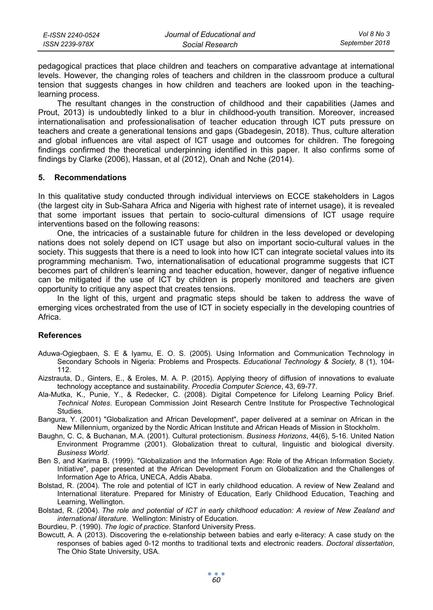| E-ISSN 2240-0524 | Journal of Educational and | Vol 8 No 3     |
|------------------|----------------------------|----------------|
| ISSN 2239-978X   | Social Research            | September 2018 |

pedagogical practices that place children and teachers on comparative advantage at international levels. However, the changing roles of teachers and children in the classroom produce a cultural tension that suggests changes in how children and teachers are looked upon in the teachinglearning process.

The resultant changes in the construction of childhood and their capabilities (James and Prout, 2013) is undoubtedly linked to a blur in childhood-youth transition. Moreover, increased internationalisation and professionalisation of teacher education through ICT puts pressure on teachers and create a generational tensions and gaps (Gbadegesin, 2018). Thus, culture alteration and global influences are vital aspect of ICT usage and outcomes for children. The foregoing findings confirmed the theoretical underpinning identified in this paper. It also confirms some of findings by Clarke (2006), Hassan, et al (2012), Onah and Nche (2014).

### **5. Recommendations**

In this qualitative study conducted through individual interviews on ECCE stakeholders in Lagos (the largest city in Sub-Sahara Africa and Nigeria with highest rate of internet usage), it is revealed that some important issues that pertain to socio-cultural dimensions of ICT usage require interventions based on the following reasons:

One, the intricacies of a sustainable future for children in the less developed or developing nations does not solely depend on ICT usage but also on important socio-cultural values in the society. This suggests that there is a need to look into how ICT can integrate societal values into its programming mechanism. Two, internationalisation of educational programme suggests that ICT becomes part of children's learning and teacher education, however, danger of negative influence can be mitigated if the use of ICT by children is properly monitored and teachers are given opportunity to critique any aspect that creates tensions.

In the light of this, urgent and pragmatic steps should be taken to address the wave of emerging vices orchestrated from the use of ICT in society especially in the developing countries of Africa.

### **References**

- Aduwa-Ogiegbaen, S. E & Iyamu, E. O. S. (2005). Using Information and Communication Technology in Secondary Schools in Nigeria: Problems and Prospects. *Educational Technology & Society,* 8 (1), 104- 112.
- Aizstrauta, D., Ginters, E., & Eroles, M. A. P. (2015). Applying theory of diffusion of innovations to evaluate technology acceptance and sustainability. *Procedia Computer Science*, 43, 69-77.
- Ala-Mutka, K., Punie, Y., & Redecker, C. (2008). Digital Competence for Lifelong Learning Policy Brief. *Technical Notes*. European Commission Joint Research Centre Institute for Prospective Technological Studies.
- Bangura, Y. (2001) "Globalization and African Development", paper delivered at a seminar on African in the New Millennium, organized by the Nordic African Institute and African Heads of Mission in Stockholm.
- Baughn, C. C, & Buchanan, M.A. (2001). Cultural protectionism. *Business Horizons*, 44(6), 5-16. United Nation Environment Programme (2001). Globalization threat to cultural, linguistic and biological diversity. *Business World.*
- Ben S, and Karima B. (1999). "Globalization and the Information Age: Role of the African Information Society. Initiative", paper presented at the African Development Forum on Globalization and the Challenges of Information Age to Africa, UNECA, Addis Ababa.
- Bolstad, R. (2004). The role and potential of ICT in early childhood education. A review of New Zealand and International literature. Prepared for Ministry of Education, Early Childhood Education, Teaching and Learning, Wellington.
- Bolstad, R. (2004). *The role and potential of ICT in early childhood education: A review of New Zealand and international literature*. Wellington: Ministry of Education.
- Bourdieu, P. (1990). *The logic of practice*. Stanford University Press.
- Bowcutt, A. A (2013). Discovering the e-relationship between babies and early e-literacy: A case study on the responses of babies aged 0-12 months to traditional texts and electronic readers. *Doctoral dissertation*, The Ohio State University, USA.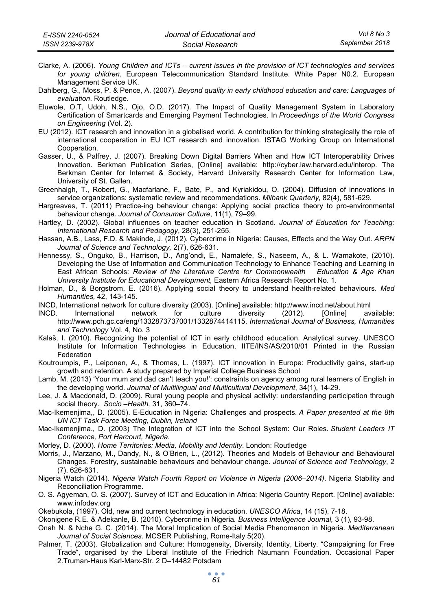| E-ISSN 2240-0524 | Journal of Educational and | Vol 8 No 3     |
|------------------|----------------------------|----------------|
| ISSN 2239-978X   | Social Research            | September 2018 |

- Clarke, A. (2006). *Young Children and ICTs current issues in the provision of ICT technologies and services for young children.* European Telecommunication Standard Institute. White Paper N0.2. European Management Service UK.
- Dahlberg, G., Moss, P. & Pence, A. (2007). *Beyond quality in early childhood education and care: Languages of evaluation*. Routledge.
- Eluwole, O.T, Udoh, N.S., Ojo, O.D. (2017). The Impact of Quality Management System in Laboratory Certification of Smartcards and Emerging Payment Technologies. In *Proceedings of the World Congress on Engineering* (Vol. 2).
- EU (2012). ICT research and innovation in a globalised world. A contribution for thinking strategically the role of international cooperation in EU ICT research and innovation. ISTAG Working Group on International Cooperation.
- Gasser, U., & Palfrey, J. (2007). Breaking Down Digital Barriers When and How ICT Interoperability Drives Innovation. Berkman Publication Series, [Online] available: http://cyber.law.harvard.edu/interop. The Berkman Center for Internet & Society, Harvard University Research Center for Information Law, University of St. Gallen.
- Greenhalgh, T., Robert, G., Macfarlane, F., Bate, P., and Kyriakidou, O. (2004). Diffusion of innovations in service organizations: systematic review and recommendations. *Milbank Quarterly*, 82(4), 581-629.
- Hargreaves, T. (2011) Practice-ing behaviour change: Applying social practice theory to pro-environmental behaviour change. *Journal of Consumer Culture*, 11(1), 79–99.
- Hartley, D. (2002). Global influences on teacher education in Scotland. *Journal of Education for Teaching: International Research and Pedagogy*, 28(3), 251-255.
- Hassan, A.B., Lass, F.D. & Makinde, J. (2012). Cybercrime in Nigeria: Causes, Effects and the Way Out. *ARPN Journal of Science and Technology,* 2(7), 626-631.
- Hennessy, S., Onguko, B., Harrison, D., Ang'ondi, E., Namalefe, S., Naseem, A., & L. Wamakote, (2010). Developing the Use of Information and Communication Technology to Enhance Teaching and Learning in East African Schools: *Review of the Literature Centre for Commonwealth Education & Aga Khan University Institute for Educational Development,* Eastern Africa Research Report No. 1.
- Holman, D., & Borgstrom, E. (2016). Applying social theory to understand health-related behaviours. *Med Humanities,* 42, 143-145.
- INCD, International network for culture diversity (2003). [Online] available: http://www.incd.net/about.html
- INCD. International network for culture diversity (2012). [Online] available: http://www.pch.gc.ca/eng/1332873737001/1332874414115. *International Journal of Business, Humanities and Technology* Vol. 4, No. 3
- Kalaš, I. (2010). Recognizing the potential of ICT in early childhood education. Analytical survey. UNESCO Institute for Information Technologies in Education, IITE/INS/AS/2010/01 Printed in the Russian Federation
- Koutroumpis, P., Leiponen, A., & Thomas, L. (1997). ICT innovation in Europe: Productivity gains, start-up growth and retention. A study prepared by Imperial College Business School
- Lamb, M. (2013) 'Your mum and dad can't teach you!': constraints on agency among rural learners of English in the developing world. *Journal of Multilingual and Multicultural Development*, 34(1), 14-29.
- Lee, J. & Macdonald, D. (2009). Rural young people and physical activity: understanding participation through social theory. *Socio –Health,* 31, 360–74.
- Mac-Ikemenjima,, D. (2005). E-Education in Nigeria: Challenges and prospects. *A Paper presented at the 8th UN ICT Task Force Meeting, Dublin, Ireland*
- Mac-Ikemenjima., D. (2003) The Integration of ICT into the School System: Our Roles. *Student Leaders IT Conference, Port Harcourt, Nigeria*.
- Morley, D. (2000). *Home Territories: Media, Mobility and Identity*. London: Routledge
- Morris, J., Marzano, M., Dandy, N., & O'Brien, L., (2012). Theories and Models of Behaviour and Behavioural Changes. Forestry, sustainable behaviours and behaviour change. *Journal of Science and Technology*, 2 (7), 626-631.
- Nigeria Watch (2014). *Nigeria Watch Fourth Report on Violence in Nigeria (2006–2014)*. Nigeria Stability and Reconciliation Programme.
- O. S. Agyeman, O. S. (2007). Survey of ICT and Education in Africa: Nigeria Country Report. [Online] available: www.infodev.org
- Okebukola, (1997). Old, new and current technology in education. *UNESCO Africa*, 14 (15), 7-18.
- Okonigene R.E. & Adekanle, B. (2010). Cybercrime in Nigeria*. Business Intelligence Journal,* 3 (1), 93-98.
- Onah N. & Nche G. C. (2014). The Moral Implication of Social Media Phenomenon in Nigeria. *Mediterranean Journal of Social Sciences*. MCSER Publishing, Rome-Italy 5(20).
- Palmer, T. (2003). Globalization and Culture: Homogeneity, Diversity, Identity, Liberty. "Campaigning for Free Trade", organised by the Liberal Institute of the Friedrich Naumann Foundation. Occasional Paper 2.Truman-Haus Karl-Marx-Str. 2 D–14482 Potsdam